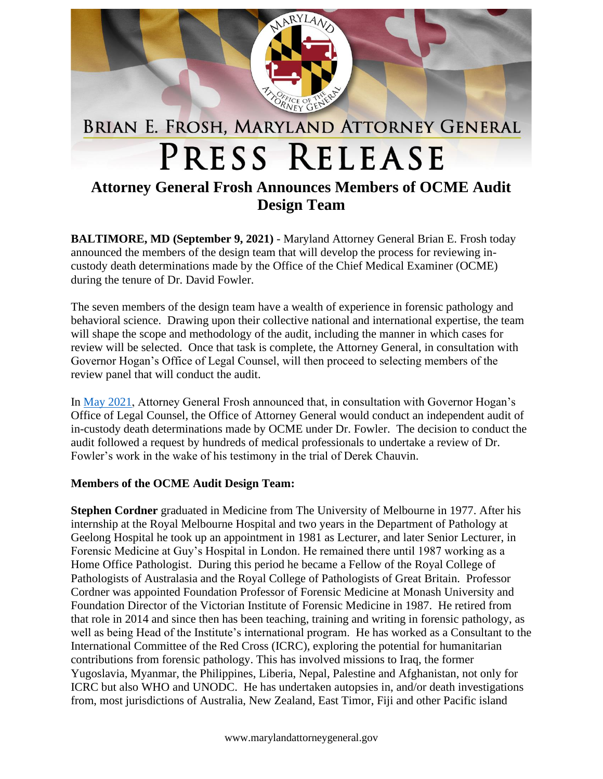

## **Attorney General Frosh Announces Members of OCME Audit Design Team**

**BALTIMORE, MD (September 9, 2021)** - Maryland Attorney General Brian E. Frosh today announced the members of the design team that will develop the process for reviewing incustody death determinations made by the Office of the Chief Medical Examiner (OCME) during the tenure of Dr. David Fowler.

The seven members of the design team have a wealth of experience in forensic pathology and behavioral science. Drawing upon their collective national and international expertise, the team will shape the scope and methodology of the audit, including the manner in which cases for review will be selected. Once that task is complete, the Attorney General, in consultation with Governor Hogan's Office of Legal Counsel, will then proceed to selecting members of the review panel that will conduct the audit.

In [May 2021,](https://www.marylandattorneygeneral.gov/press/2021/050721.pdf) Attorney General Frosh announced that, in consultation with Governor Hogan's Office of Legal Counsel, the Office of Attorney General would conduct an independent audit of in-custody death determinations made by OCME under Dr. Fowler. The decision to conduct the audit followed a request by hundreds of medical professionals to undertake a review of Dr. Fowler's work in the wake of his testimony in the trial of Derek Chauvin.

## **Members of the OCME Audit Design Team:**

**Stephen Cordner** graduated in Medicine from The University of Melbourne in 1977. After his internship at the Royal Melbourne Hospital and two years in the Department of Pathology at Geelong Hospital he took up an appointment in 1981 as Lecturer, and later Senior Lecturer, in Forensic Medicine at Guy's Hospital in London. He remained there until 1987 working as a Home Office Pathologist. During this period he became a Fellow of the Royal College of Pathologists of Australasia and the Royal College of Pathologists of Great Britain. Professor Cordner was appointed Foundation Professor of Forensic Medicine at Monash University and Foundation Director of the Victorian Institute of Forensic Medicine in 1987. He retired from that role in 2014 and since then has been teaching, training and writing in forensic pathology, as well as being Head of the Institute's international program. He has worked as a Consultant to the International Committee of the Red Cross (ICRC), exploring the potential for humanitarian contributions from forensic pathology. This has involved missions to Iraq, the former Yugoslavia, Myanmar, the Philippines, Liberia, Nepal, Palestine and Afghanistan, not only for ICRC but also WHO and UNODC. He has undertaken autopsies in, and/or death investigations from, most jurisdictions of Australia, New Zealand, East Timor, Fiji and other Pacific island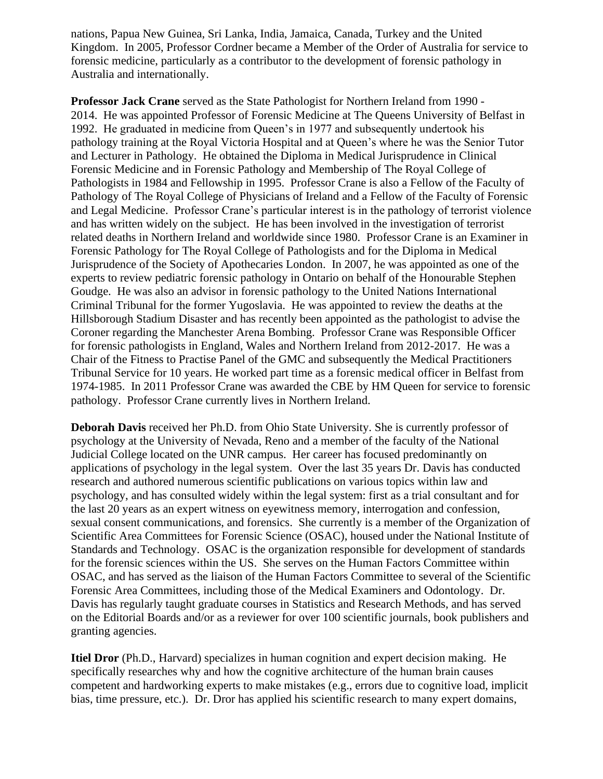nations, Papua New Guinea, Sri Lanka, India, Jamaica, Canada, Turkey and the United Kingdom. In 2005, Professor Cordner became a Member of the Order of Australia for service to forensic medicine, particularly as a contributor to the development of forensic pathology in Australia and internationally.

**Professor Jack Crane** served as the State Pathologist for Northern Ireland from 1990 - 2014. He was appointed Professor of Forensic Medicine at The Queens University of Belfast in 1992. He graduated in medicine from Queen's in 1977 and subsequently undertook his pathology training at the Royal Victoria Hospital and at Queen's where he was the Senior Tutor and Lecturer in Pathology. He obtained the Diploma in Medical Jurisprudence in Clinical Forensic Medicine and in Forensic Pathology and Membership of The Royal College of Pathologists in 1984 and Fellowship in 1995. Professor Crane is also a Fellow of the Faculty of Pathology of The Royal College of Physicians of Ireland and a Fellow of the Faculty of Forensic and Legal Medicine. Professor Crane's particular interest is in the pathology of terrorist violence and has written widely on the subject. He has been involved in the investigation of terrorist related deaths in Northern Ireland and worldwide since 1980. Professor Crane is an Examiner in Forensic Pathology for The Royal College of Pathologists and for the Diploma in Medical Jurisprudence of the Society of Apothecaries London. In 2007, he was appointed as one of the experts to review pediatric forensic pathology in Ontario on behalf of the Honourable Stephen Goudge. He was also an advisor in forensic pathology to the United Nations International Criminal Tribunal for the former Yugoslavia. He was appointed to review the deaths at the Hillsborough Stadium Disaster and has recently been appointed as the pathologist to advise the Coroner regarding the Manchester Arena Bombing. Professor Crane was Responsible Officer for forensic pathologists in England, Wales and Northern Ireland from 2012-2017. He was a Chair of the Fitness to Practise Panel of the GMC and subsequently the Medical Practitioners Tribunal Service for 10 years. He worked part time as a forensic medical officer in Belfast from 1974-1985. In 2011 Professor Crane was awarded the CBE by HM Queen for service to forensic pathology. Professor Crane currently lives in Northern Ireland.

**Deborah Davis** received her Ph.D. from Ohio State University. She is currently professor of psychology at the University of Nevada, Reno and a member of the faculty of the National Judicial College located on the UNR campus. Her career has focused predominantly on applications of psychology in the legal system. Over the last 35 years Dr. Davis has conducted research and authored numerous scientific publications on various topics within law and psychology, and has consulted widely within the legal system: first as a trial consultant and for the last 20 years as an expert witness on eyewitness memory, interrogation and confession, sexual consent communications, and forensics. She currently is a member of the Organization of Scientific Area Committees for Forensic Science (OSAC), housed under the National Institute of Standards and Technology. OSAC is the organization responsible for development of standards for the forensic sciences within the US. She serves on the Human Factors Committee within OSAC, and has served as the liaison of the Human Factors Committee to several of the Scientific Forensic Area Committees, including those of the Medical Examiners and Odontology. Dr. Davis has regularly taught graduate courses in Statistics and Research Methods, and has served on the Editorial Boards and/or as a reviewer for over 100 scientific journals, book publishers and granting agencies.

**Itiel Dror** (Ph.D., Harvard) specializes in human cognition and expert decision making. He specifically researches why and how the cognitive architecture of the human brain causes competent and hardworking experts to make mistakes (e.g., errors due to cognitive load, implicit bias, time pressure, etc.). Dr. Dror has applied his scientific research to many expert domains,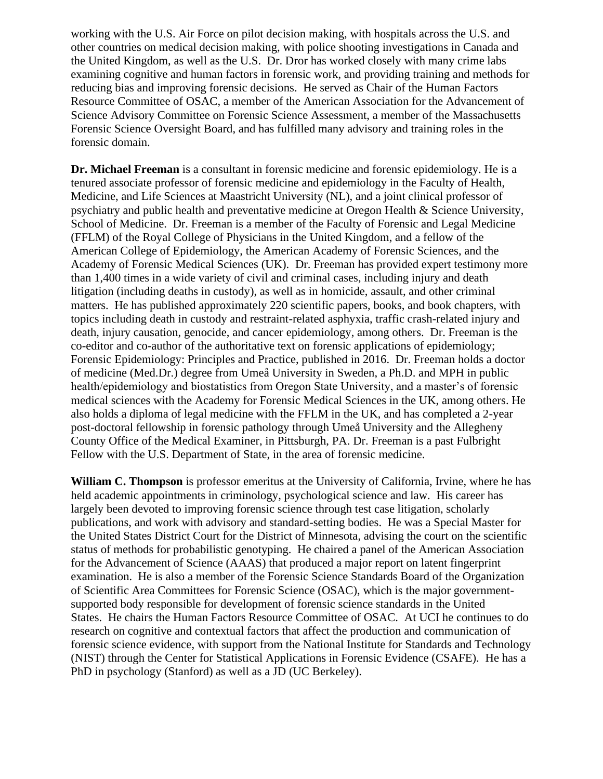working with the U.S. Air Force on pilot decision making, with hospitals across the U.S. and other countries on medical decision making, with police shooting investigations in Canada and the United Kingdom, as well as the U.S. Dr. Dror has worked closely with many crime labs examining cognitive and human factors in forensic work, and providing training and methods for reducing bias and improving forensic decisions. He served as Chair of the Human Factors Resource Committee of OSAC, a member of the American Association for the Advancement of Science Advisory Committee on Forensic Science Assessment, a member of the Massachusetts Forensic Science Oversight Board, and has fulfilled many advisory and training roles in the forensic domain.

**Dr. Michael Freeman** is a consultant in forensic medicine and forensic epidemiology. He is a tenured associate professor of forensic medicine and epidemiology in the Faculty of Health, Medicine, and Life Sciences at Maastricht University (NL), and a joint clinical professor of psychiatry and public health and preventative medicine at Oregon Health & Science University, School of Medicine. Dr. Freeman is a member of the Faculty of Forensic and Legal Medicine (FFLM) of the Royal College of Physicians in the United Kingdom, and a fellow of the American College of Epidemiology, the American Academy of Forensic Sciences, and the Academy of Forensic Medical Sciences (UK). Dr. Freeman has provided expert testimony more than 1,400 times in a wide variety of civil and criminal cases, including injury and death litigation (including deaths in custody), as well as in homicide, assault, and other criminal matters. He has published approximately 220 scientific papers, books, and book chapters, with topics including death in custody and restraint-related asphyxia, traffic crash-related injury and death, injury causation, genocide, and cancer epidemiology, among others. Dr. Freeman is the co-editor and co-author of the authoritative text on forensic applications of epidemiology; Forensic Epidemiology: Principles and Practice, published in 2016. Dr. Freeman holds a doctor of medicine (Med.Dr.) degree from Umeå University in Sweden, a Ph.D. and MPH in public health/epidemiology and biostatistics from Oregon State University, and a master's of forensic medical sciences with the Academy for Forensic Medical Sciences in the UK, among others. He also holds a diploma of legal medicine with the FFLM in the UK, and has completed a 2-year post-doctoral fellowship in forensic pathology through Umeå University and the Allegheny County Office of the Medical Examiner, in Pittsburgh, PA. Dr. Freeman is a past Fulbright Fellow with the U.S. Department of State, in the area of forensic medicine.

**William C. Thompson** is professor emeritus at the University of California, Irvine, where he has held academic appointments in criminology, psychological science and law. His career has largely been devoted to improving forensic science through test case litigation, scholarly publications, and work with advisory and standard-setting bodies. He was a Special Master for the United States District Court for the District of Minnesota, advising the court on the scientific status of methods for probabilistic genotyping. He chaired a panel of the American Association for the Advancement of Science (AAAS) that produced a major report on latent fingerprint examination. He is also a member of the Forensic Science Standards Board of the Organization of Scientific Area Committees for Forensic Science (OSAC), which is the major governmentsupported body responsible for development of forensic science standards in the United States. He chairs the Human Factors Resource Committee of OSAC. At UCI he continues to do research on cognitive and contextual factors that affect the production and communication of forensic science evidence, with support from the National Institute for Standards and Technology (NIST) through the Center for Statistical Applications in Forensic Evidence (CSAFE). He has a PhD in psychology (Stanford) as well as a JD (UC Berkeley).